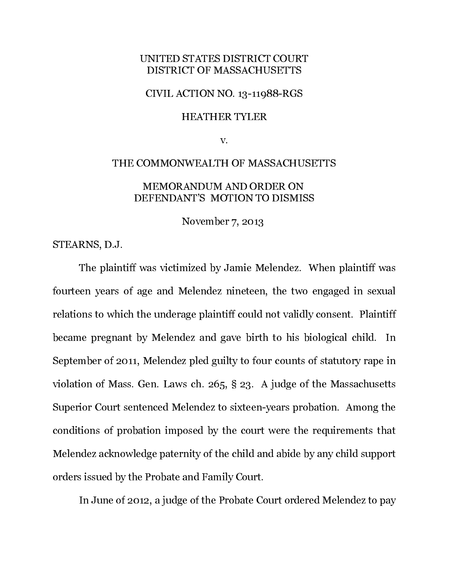# UNITED STATES DISTRICT COURT DISTRICT OF MASSACHUSETTS

### CIVIL ACTION NO. 13-11988-RGS

### HEATHER TYLER

v.

# THE COMMONWEALTH OF MASSACHUSETTS MEMORANDUM AND ORDER ON DEFENDANT'S MOTION TO DISMISS

November 7, 2013

STEARNS, D.J.

The plaintiff was victimized by Jamie Melendez. When plaintiff was fourteen years of age and Melendez nineteen, the two engaged in sexual relations to which the underage plaintiff could not validly consent. Plaintiff became pregnant by Melendez and gave birth to his biological child. In September of 2011, Melendez pled guilty to four counts of statutory rape in violation of Mass. Gen. Laws ch. 265, § 23. A judge of the Massachusetts Superior Court sentenced Melendez to sixteen-years probation. Among the conditions of probation imposed by the court were the requirements that Melendez acknowledge paternity of the child and abide by any child support orders issued by the Probate and Family Court.

In June of 2012, a judge of the Probate Court ordered Melendez to pay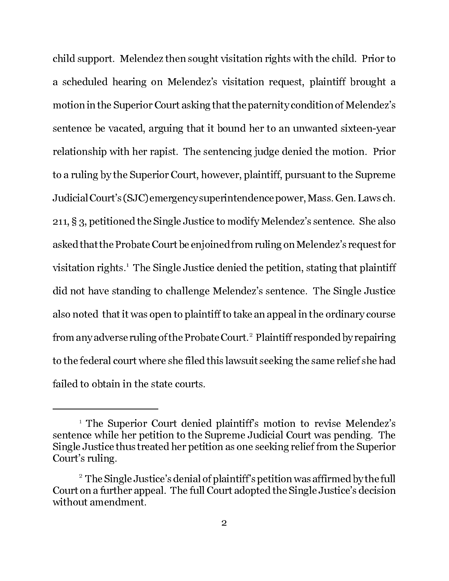child support. Melendez then sought visitation rights with the child. Prior to a scheduled hearing on Melendez's visitation request, plaintiff brought a motion in the Superior Court asking that the paternity condition of Melendez's sentence be vacated, arguing that it bound her to an unwanted sixteen-year relationship with her rapist. The sentencing judge denied the motion. Prior to a ruling by the Superior Court, however, plaintiff, pursuant to the Supreme Judicial Court's (SJC) emergency superintendence power, Mass. Gen. Laws ch. 211, § 3, petitioned the Single Justice to modify Melendez's sentence. She also asked that the Probate Court be enjoined from ruling on Melendez's request for visitation rights.1 The Single Justice denied the petition, stating that plaintiff did not have standing to challenge Melendez's sentence. The Single Justice also noted that it was open to plaintiff to take an appeal in the ordinary course from any adverse ruling of the Probate Court.<sup>2</sup> Plaintiff responded by repairing to the federal court where she filed this lawsuit seeking the same relief she had failed to obtain in the state courts.

<sup>1</sup> The Superior Court denied plaintiff's motion to revise Melendez's sentence while her petition to the Supreme Judicial Court was pending. The Single Justice thus treated her petition as one seeking relief from the Superior Court's ruling.

 $^{\rm 2}$  The Single Justice's denial of plaintiff's petition was affirmed by the full Court on a further appeal. The full Court adopted the Single Justice's decision without amendment.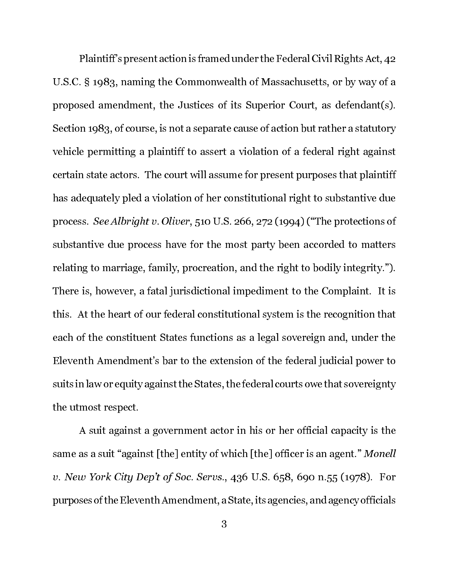Plaintiff's present action is framed under the Federal Civil Rights Act, 42 U.S.C. § 1983, naming the Commonwealth of Massachusetts, or by way of a proposed amendment, the Justices of its Superior Court, as defendant(s). Section 1983, of course, is not a separate cause of action but rather a statutory vehicle permitting a plaintiff to assert a violation of a federal right against certain state actors. The court will assume for present purposes that plaintiff has adequately pled a violation of her constitutional right to substantive due process. See Albright v. Oliver, 510 U.S. 266, 272 (1994) ("The protections of substantive due process have for the most party been accorded to matters relating to marriage, family, procreation, and the right to bodily integrity."). There is, however, a fatal jurisdictional impediment to the Complaint. It is this. At the heart of our federal constitutional system is the recognition that each of the constituent States functions as a legal sovereign and, under the Eleventh Amendment's bar to the extension of the federal judicial power to suits in law or equity against the States, the federal courts owe that sovereignty the utmost respect.

A suit against a government actor in his or her official capacity is the same as a suit "against [the] entity of which [the] officer is an agent." Monell v. New York City Dep't of Soc. Servs., 436 U.S. 658, 690 n.55 (1978). For purposes of the Eleventh Amendment, a State, its agencies, and agency officials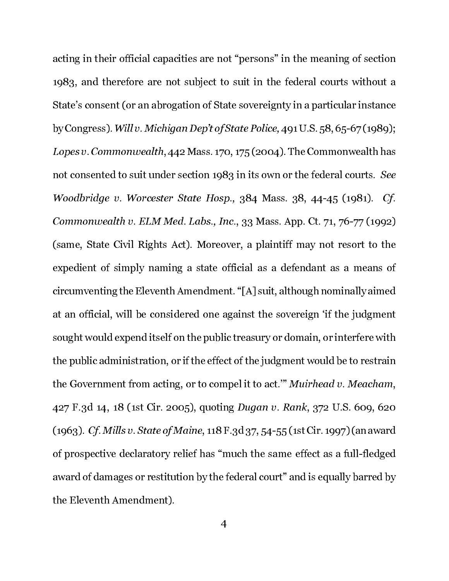acting in their official capacities are not "persons" in the meaning of section 1983, and therefore are not subject to suit in the federal courts without a State's consent (or an abrogation of State sovereignty in a particular instance by Congress). Will v. Michigan Dep't of State Police, 491 U.S. 58, 65-67 (1989); Lopes v. Commonwealth, 442 Mass. 170, 175 (2004). The Commonwealth has not consented to suit under section 1983 in its own or the federal courts. See Woodbridge v. Worcester State Hosp., 384 Mass. 38, 44-45 (1981). Cf. Commonwealth v. ELM Med. Labs., Inc., 33 Mass. App. Ct. 71, 76-77 (1992) (same, State Civil Rights Act). Moreover, a plaintiff may not resort to the expedient of simply naming a state official as a defendant as a means of circumventing the Eleventh Amendment. "[A] suit, although nominally aimed at an official, will be considered one against the sovereign 'if the judgment sought would expend itself on the public treasury or domain, or interfere with the public administration, or if the effect of the judgment would be to restrain the Government from acting, or to compel it to act.'" Muirhead v. Meacham, 427 F.3d 14, 18 (1st Cir. 2005), quoting Dugan v. Rank, 372 U.S. 609, 620 (1963). Cf. Mills v. State of Maine, 118 F.3d 37, 54-55 (1st Cir. 1997) (an award of prospective declaratory relief has "much the same effect as a full-fledged award of damages or restitution by the federal court" and is equally barred by the Eleventh Amendment).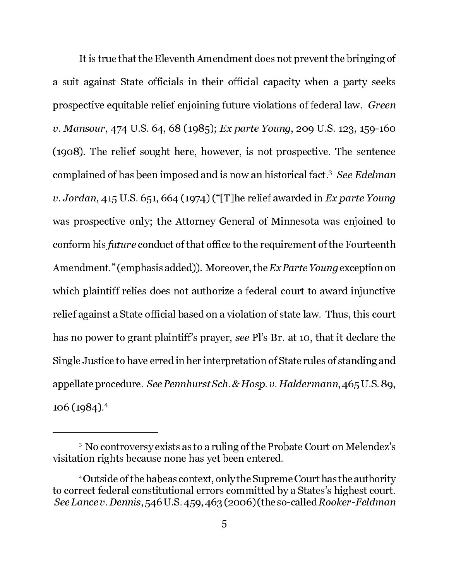It is true that the Eleventh Amendment does not prevent the bringing of a suit against State officials in their official capacity when a party seeks prospective equitable relief enjoining future violations of federal law. Green v. Mansour, 474 U.S. 64, 68 (1985); Ex parte Young, 209 U.S. 123, 159-160 (1908). The relief sought here, however, is not prospective. The sentence complained of has been imposed and is now an historical fact.<sup>3</sup> *See Edelman* v. Jordan, 415 U.S. 651, 664 (1974) ("[T]he relief awarded in Ex parte Young was prospective only; the Attorney General of Minnesota was enjoined to conform his future conduct of that office to the requirement of the Fourteenth Amendment." (emphasis added)). Moreover, the Ex Parte Young exception on which plaintiff relies does not authorize a federal court to award injunctive relief against a State official based on a violation of state law. Thus, this court has no power to grant plaintiff's prayer, see Pl's Br. at 10, that it declare the Single Justice to have erred in her interpretation of State rules of standing and appellate procedure. See Pennhurst Sch. & Hosp. v. Haldermann, 465 U.S. 89, 106 (1984).4

 $\,$   $\,$   $\,$  No controversy exists as to a ruling of the Probate Court on Melendez's visitation rights because none has yet been entered.

<sup>4</sup> Outside of the habeas context, only the Supreme Court has the authority to correct federal constitutional errors committed by a States's highest court. See Lance v. Dennis, 546 U.S. 459, 463 (2006) (the so-called Rooker-Feldman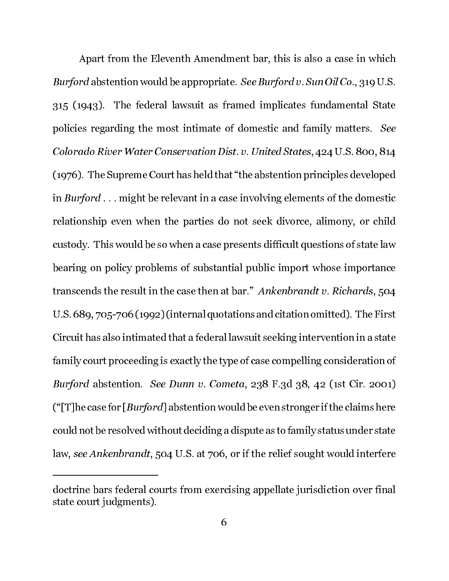Apart from the Eleventh Amendment bar, this is also a case in which Burford abstention would be appropriate. See Burford v. Sun Oil Co., 319 U.S. 315 (1943). The federal lawsuit as framed implicates fundamental State policies regarding the most intimate of domestic and family matters. See Colorado River Water Conservation Dist. v. United States, 424 U.S. 800, 814 (1976). The Supreme Court has held that "the abstention principles developed in Burford . . . might be relevant in a case involving elements of the domestic relationship even when the parties do not seek divorce, alimony, or child custody. This would be so when a case presents difficult questions of state law bearing on policy problems of substantial public import whose importance transcends the result in the case then at bar." Ankenbrandt v. Richards, 504 U.S. 689, 705-706 (1992) (internal quotations and citation omitted). The First Circuit has also intimated that a federal lawsuit seeking intervention in a state family court proceeding is exactly the type of case compelling consideration of Burford abstention. See Dunn v. Cometa, 238 F.3d 38, 42 (1st Cir. 2001) (" $[T]$ he case for  $[Burford]$  abstention would be even stronger if the claims here could not be resolved without deciding a dispute as to family status under state law, see Ankenbrandt, 504 U.S. at 706, or if the relief sought would interfere

doctrine bars federal courts from exercising appellate jurisdiction over final state court judgments).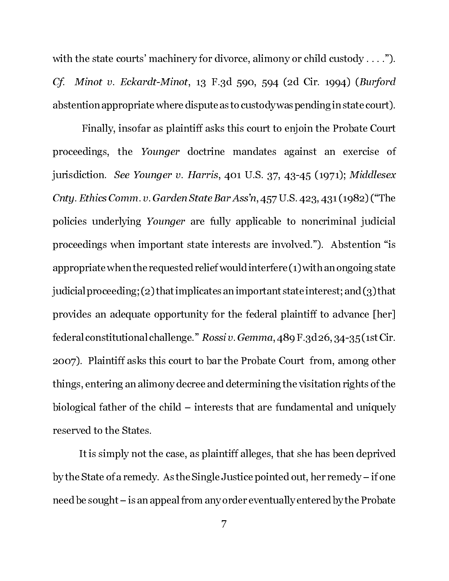with the state courts' machinery for divorce, alimony or child custody . . . ."). Cf. Minot v. Eckardt-Minot, 13 F.3d 590, 594 (2d Cir. 1994) (Burford abstention appropriate where dispute as to custody was pending in state court).

 Finally, insofar as plaintiff asks this court to enjoin the Probate Court proceedings, the Younger doctrine mandates against an exercise of jurisdiction. See Younger v. Harris, 401 U.S. 37, 43-45 (1971); Middlesex Cnty. Ethics Comm. v. Garden State Bar Ass'n, 457 U.S. 423, 431 (1982) ("The policies underlying Younger are fully applicable to noncriminal judicial proceedings when important state interests are involved."). Abstention "is appropriate when the requested relief would interfere (1) with an ongoing state judicial proceeding; (2) that implicates an important state interest; and (3) that provides an adequate opportunity for the federal plaintiff to advance [her] federal constitutional challenge." Rossi v. Gemma, 489 F.3d 26, 34-35 (1st Cir. 2007). Plaintiff asks this court to bar the Probate Court from, among other things, entering an alimony decree and determining the visitation rights of the biological father of the child – interests that are fundamental and uniquely reserved to the States.

It is simply not the case, as plaintiff alleges, that she has been deprived by the State of a remedy. As the Single Justice pointed out, her remedy – if one need be sought – is an appeal from any order eventually entered by the Probate